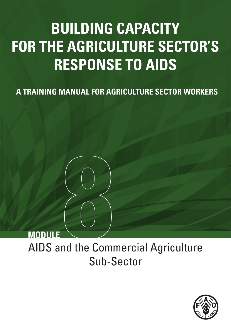# **BUILDING CAPACITY FOR THE AGRICULTURE SECTOR'S RESPONSE TO AIDS**

**A TRAINING MANUAL FOR AGRICULTURE SECTOR WORKERS**

# **MODULE**

AIDS and the Commercial Agriculture Sub-Sector

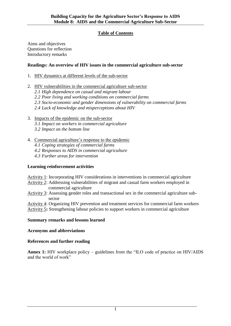# **Table of Contents**

Aims and objectives Questions for reflection Introductory remarks

#### **Readings: An overview of HIV issues in the commercial agriculture sub-sector**

- 1. HIV dynamics at different levels of the sub-sector
- 2. HIV vulnerabilities in the commercial agriculture sub-sector
	- *2.1 High dependence on casual and migrant labour*
	- *2.2 Poor living and working conditions on commercial farms*
	- *2.3 Socio-economic and gender dimensions of vulnerability on commercial farms*
	- *2.4 Lack of knowledge and misperceptions about HIV*
- 3. Impacts of the epidemic on the sub-sector
	- *3.1 Impact on workers in commercial agriculture*
	- *3.2 Impact on the bottom line*
- 4. Commercial agriculture's response to the epidemic
	- *4.1 Coping strategies of commercial farms*
	- *4.2 Responses to AIDS in commercial agriculture*
	- *4.3 Further areas for intervention*

#### **Learning reinforcement activities**

- Activity 1: Incorporating HIV considerations in interventions in commercial agriculture
- Activity 2: Addressing vulnerabilities of migrant and casual farm workers employed in commercial agriculture
- Activity 3: Assessing gender roles and transactional sex in the commercial agriculture subsector
- Activity 4: Organizing HIV prevention and treatment services for commercial farm workers
- Activity 5**:** Strengthening labour policies to support workers in commercial agriculture

#### **Summary remarks and lessons learned**

#### **Acronyms and abbreviations**

#### **References and further reading**

**Annex 1:** HIV workplace policy – guidelines from the "ILO code of practice on HIV/AIDS and the world of work"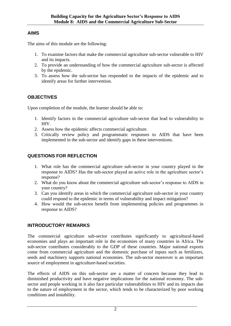# **AIMS**

The aims of this module are the following:

- 1. To examine factors that make the commercial agriculture sub-sector vulnerable to HIV and its impacts.
- 2. To provide an understanding of how the commercial agriculture sub-sector is affected by the epidemic.
- 3. To assess how the sub-sector has responded to the impacts of the epidemic and to identify areas for further intervention.

# **OBJECTIVES**

Upon completion of the module, the learner should be able to:

- 1. Identify factors in the commercial agriculture sub-sector that lead to vulnerability to HIV.
- 2. Assess how the epidemic affects commercial agriculture.
- 3. Critically review policy and programmatic responses to AIDS that have been implemented in the sub-sector and identify gaps in these interventions.

# **QUESTIONS FOR REFLECTION**

- 1. What role has the commercial agriculture sub-sector in your country played in the response to AIDS? Has the sub-sector played an active role in the agriculture sector's response?
- 2. What do you know about the commercial agriculture sub-sector's response to AIDS in your country?
- 3. Can you identify areas in which the commercial agriculture sub-sector in your country could respond to the epidemic in terms of vulnerability and impact mitigation?
- 4. How would the sub-sector benefit from implementing policies and programmes in response to AIDS?

# **INTRODUCTORY REMARKS**

The commercial agriculture sub-sector contributes significantly to agricultural-based economies and plays an important role in the economies of many countries in Africa. The sub-sector contributes considerably to the GDP of these countries. Major national exports come from commercial agriculture and the domestic purchase of inputs such as fertilizers, seeds and machinery supports national economies. The sub-sector moreover is an important source of employment in agriculture-based societies.

The effects of AIDS on this sub-sector are a matter of concern because they lead to diminished productivity and have negative implications for the national economy. The subsector and people working in it also face particular vulnerabilities to HIV and its impacts due to the nature of employment in the sector, which tends to be characterized by poor working conditions and instability.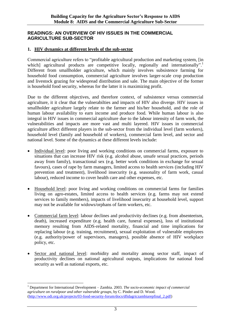#### **READINGS: AN OVERVIEW OF HIV ISSUES IN THE COMMERCIAL AGRICULTURE SUB-SECTOR**

#### **1. HIV dynamics at different levels of the sub-sector**

Commercial agriculture refers to "profitable agricultural production and marketing system, [in which] agricultural products are competitive locally, regionally and internationally".<sup>1</sup> Different from smallholder agriculture, which mainly involves subsistence farming for household food consumption, commercial agriculture involves larger-scale crop production and livestock grazing for widespread distribution and sale. The main objective of the former is household food security, whereas for the latter it is maximizing profit.

Due to the different objectives, and therefore context, of subsistence versus commercial agriculture, it it clear that the vulnerabilties and impacts of HIV also diverge. HIV issues in smallholder agriculture largely relate to the farmer and his/her household, and the role of human labour availability to earn income and produce food. While human labour is also integral in HIV issues in commercial agriculture due to the labour intensity of farm work, the vulnerabilities and impacts are more vast and multi layered. HIV issues in commercial agriculture affect different players in the sub-sector from the individual level (farm workers), household level (family and household of workers), commercial farm level, and sector and national level. Some of the dynamics at these different levels include:

- Individual level: poor living and working conditions on commercial farms, exposure to situations that can increase HIV risk (e.g. alcohol abuse, unsafe sexual practices, periods away from family), transactional sex (e.g. better work conditions in exchange for sexual favours), cases of rape by farm managers, limited access to health services (including HIV prevention and treatment), livelihood insecurity (e.g. seasonality of farm work, casual labour), reduced income to cover health care and other expenses, etc.
- Household level: poor living and working conditions on commercial farms for families living on agro-estates, limited access to health services (e.g. farms may not extend services to family members), impacts of livelihood insecurity at household level, support may not be available for widows/orphans of farm workers, etc.
- Commercial farm level: labour declines and productivity declines (e.g. from absenteeism, death), increased expenditure (e.g. health care, funeral expenses), loss of institutional memory resulting from AIDS-related mortality, financial and time implications for replacing labour (e.g. training, recruitment), sexual exploitation of vulnerable employees (e.g. authority/power of supervisors, managers), possible absence of HIV workplace policy, etc.
- Sector and national level: morbidity and mortality among sector staff, impact of productivity declines on national agricultural outputs, implications for national food security as well as national exports, etc.

<sup>1</sup> Department for International Development – Zambia. 2003. *The socio-economic impact of commercial agriculture on ruralpoor and other vulnerable groups*, by C. Pinder and D. Wood. [\(http://www.odi.org.uk/projects/03-food-security-forum/docs/dfidagriczambiarepfinal\\_2.pdf\)](http://www.odi.org.uk/projects/03-food-security-forum/docs/dfidagriczambiarepfinal_2.pdf)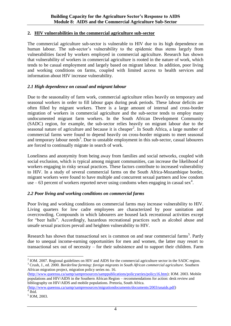#### **2. HIV vulnerabilities in the commercial agriculture sub-sector**

The commercial agriculture sub-sector is vulnerable to HIV due to its high dependence on human labour. The sub-sector's vulnerability to the epidemic thus stems largely from vulnerabilities faced by workers employed in commercial agriculture. Research has shown that vulnerability of workers in commercial agriculture is rooted in the nature of work, which tends to be casual employment and largely based on migrant labour. In addition, poor living and working conditions on farms, coupled with limited access to health services and information about HIV increase vulnerability.

#### *2.1 High dependence on casual and migrant labour*

Due to the seasonality of farm work, commercial agriculture relies heavily on temporary and seasonal workers in order to fill labour gaps during peak periods. These labour deficits are often filled by migrant workers. There is a large amount of internal and cross-border migration of workers in commercial agriculture and the sub-sector tends to employ many undocumented migrant farm workers. In the South African Development Community (SADC) region, for example, the sub-sector relies heavily on migrant labour due to the seasonal nature of agriculture and because it is cheaper<sup>2</sup>. In South Africa, a large number of commercial farms were found to depend heavily on cross-border migrants to meet seasonal and temporary labour needs<sup>3</sup>. Due to unstable employment in this sub-sector, casual labourers are forced to continually migrate in search of work.

Loneliness and anonymity from being away from families and social networks, coupled with social exclusion, which is typical among migrant communities, can increase the likelihood of workers engaging in risky sexual practices. These factors contribute to increased vulnerability to HIV. In a study of several commercial farms on the South Africa-Mozambique border, migrant workers were found to have multiple and concurrent sexual partners and low condom use  $-63$  percent of workers reported never using condoms when engaging in casual sex<sup>4</sup>.

#### *2.2 Poor living and working conditions on commercial farms*

Poor living and working conditions on commercial farms may increase vulnerability to HIV. Living quarters for low cadre employees are characterized by poor sanitation and overcrowding. Compounds in which labourers are housed lack recreational activities except for "beer halls". Accordingly, hazardous recreational practices such as alcohol abuse and unsafe sexual practices prevail and heighten vulnerability to HIV.

Research has shown that transactional sex is common on and near commercial farms<sup>5</sup>. Partly due to unequal income-earning opportunities for men and women, the latter may resort to transactional sex out of necessity – for their subsistence and to support their children. Farm

[\(http://www.queensu.ca/samp/sampresources/samppublications/policyseries/policy16.htm\)](http://www.queensu.ca/samp/sampresources/samppublications/policyseries/policy16.htm); IOM. 2003. Mobile populations and HIV/AIDS in the Southern African Region – recommendations for action: desk review and bibliography on HIV/AIDS and mobile populations. Pretoria, South Africa.

<sup>&</sup>lt;sup>2</sup> IOM. 2007. Regional guidelines on HIV and AIDS for the commercial agriculture sector in the SADC region. <sup>3</sup> Crush, J., ed. 2000. *Borderline farming: foreign migrants in South African commercial agriculture*. Southern African migration project, migration policy series no. 16.

[<sup>\(</sup>http://www.queensu.ca/samp/sampresources/migrationdocuments/documents/2003/unaids.pdf\)](http://www.queensu.ca/samp/sampresources/migrationdocuments/documents/2003/unaids.pdf)  $4$  Ibid.

<sup>5</sup> IOM, 2003.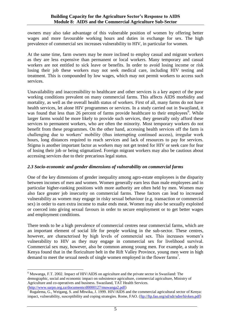owners may also take advantage of this vulnerable position of women by offering better wages and more favourable working hours and duties in exchange for sex. The high prevalence of commercial sex increases vulnerability to HIV, in particular for women.

At the same time, farm owners may be more inclined to employ casual and migrant workers as they are less expensive than permanent or local workers. Many temporary and casual workers are not entitled to sick leave or benefits. In order to avoid losing income or risk losing their job these workers may not seek medical care, including HIV testing and treatment. This is compounded by low wages, which may not permit workers to access such services.

Unavailability and inaccessibility to healthcare and other services is a key aspect of the poor working conditions prevalent on many commercial farms. This affects AIDS morbidity and mortality, as well as the overall health status of workers. First of all, many farms do not have health services, let alone HIV programmes or services. In a study carried out in Swaziland, it was found that less than 26 percent of farms provide healthcare to their employees<sup>6</sup>. While larger farms would be more likely to provide such services, they generally only afford these services to permanent workers, who are often the minority. Most temporary workers do not benefit from these programmes. On the other hand, accessing health services off the farm is challenging due to workers' mobility (thus interrupting continued access), irregular work hours, long distances required to reach services and lack of resources to pay for services. Stigma is another important factor as workers may not get tested for HIV or seek care for fear of losing their job or being stigmatized. Foreign migrant workers may also be cautious about accessing services due to their precarious legal status.

#### *2.3 Socio-economic and gender dimensions of vulnerability on commercial farms*

One of the key dimensions of gender inequality among agro-estate employees is the disparity between incomes of men and women. Women generally earn less than male employees and in particular higher-ranking positions with more authority are often held by men. Women may also face greater job insecurity on commercial farms. These factors can lead to increased vulnerability as women may engage in risky sexual behaviour (e.g. transaction or commercial sex) in order to earn extra income to make ends meat. Women may also be sexually exploited or coerced into giving sexual favours in order to secure employment or to get better wages and employment conditions.

There tends to be a high prevalence of commercial centres near commercial farms, which are an important element of social life for people working in the sub-sector. These centres, however, are characterised by high levels of commercial sex. This increases women's vulnerability to HIV as they may engage in commercial sex for livelihood survival. Commercial sex may, however, also be common among young men. For example, a study in Kenya found that in the floriculture belt in the Rift Valley Province, young men were in high demand to meet the sexual needs of single women employed in the flower farms<sup>7</sup>.

<sup>6</sup> Muwanga, F.T. 2002. Impact of HIV/AIDS on agriculture and the private sector in Swaziland: The demographic, social and economic impact on subsistence agriculture, commercial agriculture, Ministry of Agriculture and co-operatives and business. Swaziland, TAT Health Services. [\(http://www.sarpn.org.za/documents/d0000127/muwanga2.pdf\)](http://www.sarpn.org.za/documents/d0000127/muwanga2.pdf)

<sup>&</sup>lt;sup>7</sup> Rugalema, G., Weigang, S. and Mbwika, J. 1999. HIV/AIDS and the commercial agricultural sector of Kenya: impact, vulnerability, susceptibility and coping strategies. Rome, FAO. [\(ftp://ftp.fao.org/sd/sdr/sdre/hivken.pdf\)](ftp://ftp.fao.org/sd/sdr/sdre/hivken.pdf)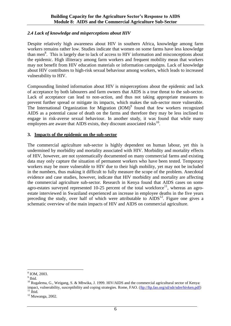#### *2.4 Lack of knowledge and misperceptions about HIV*

Despite relatively high awareness about HIV in southern Africa, knowledge among farm workers remains rather low. Studies indicate that women on some farms have less knowledge than men<sup>8</sup>. This is largely due to lack of access to HIV information and misconceptions about the epidemic. High illiteracy among farm workers and frequent mobility mean that workers may not benefit from HIV education materials or information campaigns. Lack of knowledge about HIV contributes to high-risk sexual behaviour among workers, which leads to increased vulnerability to HIV.

Compounding limited information about HIV is misperceptions about the epidemic and lack of acceptance by both labourers and farm owners that AIDS is a true threat to the sub-sector. Lack of acceptance can lead to non-action, and thus not taking appropriate measures to prevent further spread or mitigate its impacts, which makes the sub-sector more vulnerable. The International Organization for Migration  $(IOM)^9$  found that few workers recognized AIDS as a potential cause of death on the farms and therefore they may be less inclined to engage in risk-averse sexual behaviour. In another study, it was found that while many employees are aware that AIDS exists, they discount associated risks $^{10}$ .

#### **3. Impacts of the epidemic on the sub-sector**

The commercial agriculture sub-sector is highly dependent on human labour, yet this is undermined by morbidity and mortality associated with HIV. Morbidity and mortality effects of HIV, however, are not systematically documented on many commercial farms and existing data may only capture the situation of permanent workers who have been tested. Temporary workers may be more vulnerable to HIV due to their high mobility, yet may not be included in the numbers, thus making it difficult to fully measure the scope of the problem. Anecdotal evidence and case studies, however, indicate that HIV morbidity and mortality are affecting the commercial agriculture sub-sector. Research in Kenya found that AIDS cases on some agro-estates surveyed represented 10-25 percent of the total workforce<sup>11</sup>, whereas an agroestate interviewed in Swaziland experienced an increase in employee deaths in the five years preceding the study, over half of which were attributable to  $AIDS<sup>12</sup>$ . Figure one gives a schematic overview of the main impacts of HIV and AIDS on commercial agriculture.

<sup>8</sup> IOM, 2003.

<sup>&</sup>lt;sup>9</sup> Ibid.

 $10$  Rugalema, G., Weigang, S. & Mbwika, J. 1999. HIV/AIDS and the commercial agricultural sector of Kenya: impact, vulnerability, susceptibility and coping strategies. Rome, FAO. [\(ftp://ftp.fao.org/sd/sdr/sdre/hivken.pdf\)](ftp://ftp.fao.org/sd/sdr/sdre/hivken.pdf)  $11$  Ibid.

<sup>12</sup> Muwanga, 2002.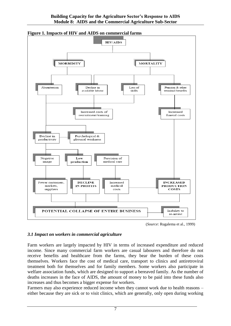

**Figure 1. Impacts of HIV and AIDS on commercial farms**



#### *3.1 Impact on workers in commercial agriculture*

Farm workers are largely impacted by HIV in terms of increased expenditure and reduced income. Since many commercial farm workers are casual labourers and therefore do not receive benefits and healthcare from the farms, they bear the burden of these costs themselves. Workers face the cost of medical care, transport to clinics and antiretroviral treatment both for themselves and for family members. Some workers also participate in welfare association funds, which are designed to support a bereaved family. As the number of deaths increases in the face of AIDS, the amount of money to be paid into these funds also increases and thus becomes a bigger expense for workers.

Farmers may also experience reduced income when they cannot work due to health reasons – either because they are sick or to visit clinics, which are generally, only open during working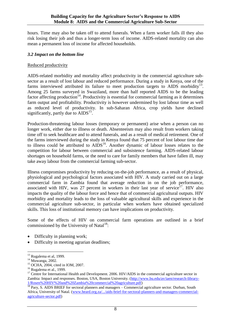hours. Time may also be taken off to attend funerals. When a farm worker falls ill they also risk losing their job and thus a longer-term loss of income. AIDS-related mortality can also mean a permanent loss of income for affected households.

#### *3.2 Impact on the bottom line*

#### Reduced productivity

AIDS-related morbidity and mortality affect productivity in the commercial agriculture subsector as a result of lost labour and reduced performance. During a study in Kenya, one of the farms interviewed attributed its failure to meet production targets to AIDS morbidity<sup>13</sup>. Among 25 farms surveyed in Swaziland, more than half reported AIDS to be the leading factor affecting production<sup>14</sup>. Productivity is essential for commercial farming as it determines farm output and profitability. Productivity is however undermined by lost labour time as well as reduced level of productivity. In sub-Saharan Africa, crop yields have declined significantly, partly due to  $AIDS<sup>15</sup>$ .

Production-threatening labour losses (temporary or permanent) arise when a person can no longer work, either due to illness or death. Absenteeism may also result from workers taking time off to seek healthcare and to attend funerals, and as a result of medical retirement. One of the farms interviewed during the study in Kenya found that 75 percent of lost labour time due to illness could be attributed to  $\text{AIDS}^{16}$ . Another dynamic of labour losses relates to the competition for labour between commercial and subsistence farming. AIDS-related labour shortages on household farms, or the need to care for family members that have fallen ill, may take away labour from the commercial farming sub-sector.

Illness compromises productivity by reducing on-the-job performance, as a result of physical, physiological and psychological factors associated with HIV. A study carried out on a large commercial farm in Zambia found that average reduction in on the job performance, associated with HIV, was 27 percent in workers in their last year of service<sup>17</sup>. HIV also impacts the quality of the labour force and hence that of commercial agricultural outputs. HIV morbidity and mortality leads to the loss of valuable agricultural skills and experience in the commercial agriculture sub-sector, in particular when workers have obtained specialized skills. This loss of institutional memory can have implications on productivity.

Some of the effects of HIV on commercial farm operations are outlined in a brief commissioned by the University of Natal $1^8$ :

- Difficulty in planning work;
- Difficulty in meeting agrarian deadlines;

 $\overline{a}$  $13$  Rugalema et al, 1999.

<sup>&</sup>lt;sup>14</sup> Muwanga, 2002.

<sup>15</sup> OCHA, 2004, cited in IOM, 2007.

<sup>&</sup>lt;sup>16</sup> Rugalema et al., 1999.

<sup>&</sup>lt;sup>17</sup> Centre for International Health and Development. 2006. HIV/AIDS in the commercial agriculture sector in Zambia: Impact and responses. Boston, USA, Boston University. [\(http://www.bu.edu/av/iaen/research-library-](http://www.bu.edu/av/iaen/research-library-1/Rosen%20HIV%20and%20Zambia%20commercial%20agriculture.pdf)[1/Rosen%20HIV%20and%20Zambia%20commercial%20agriculture.pdf\)](http://www.bu.edu/av/iaen/research-library-1/Rosen%20HIV%20and%20Zambia%20commercial%20agriculture.pdf)

 $18$  Pary, S. AIDS BRIEF for sectoral planners and managers – Commercial agriculture sector. Durban, South Africa, University of Natal. [\(www.heard.org.za/.../aids-brief-for-sectoral-planners-and-managers-commercial](http://www.heard.org.za/.../aids-brief-for-sectoral-planners-and-managers-commercial-agriculture-sector.pdf)[agriculture-sector.pdf\)](http://www.heard.org.za/.../aids-brief-for-sectoral-planners-and-managers-commercial-agriculture-sector.pdf)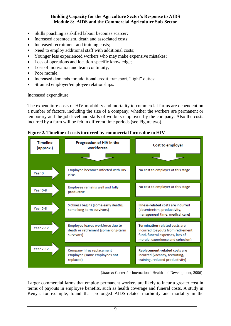- Skills poaching as skilled labour becomes scarcer;
- Increased absenteeism, death and associated costs;
- Increased recruitment and training costs:
- Need to employ additional staff with additional costs;
- Younger less experienced workers who may make expensive mistakes;
- Loss of operations and location-specific knowledge;
- Loss of motivation and team continuity;
- Poor morale:
- Increased demands for additional credit, transport, "light" duties;
- Strained employer/employee relationships.

#### Increased expenditure

The expenditure costs of HIV morbidity and mortality to commercial farms are dependent on a number of factors, including the size of a company, whether the workers are permanent or temporary and the job level and skills of workers employed by the company. Also the costs incurred by a farm will be felt in different time periods (see Figure two).





<sup>(</sup>*Source*: Center for International Health and Development, 2006)

Larger commercial farms that employ permanent workers are likely to incur a greater cost in terms of payouts in employee benefits, such as health coverage and funeral costs. A study in Kenya, for example, found that prolonged AIDS-related morbidity and mortality in the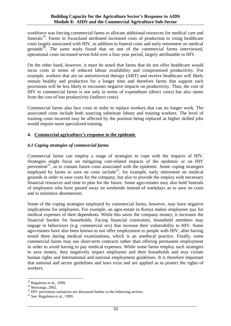workforce was forcing commercial farms to allocate additional resources for medical care and funerals<sup>19</sup>. Farms in Swaziland attributed increased costs of production to rising healthcare costs largely associated with HIV, in addition to funeral costs and early retirement on medical grounds<sup>20</sup>. The same study found that on one of the commercial farms interviewed, operational costs increased seven-fold over a four-year period, largely attributable to HIV.

On the other hand, however, it must be noted that farms that do not offer healthcare would incur costs in terms of reduced labour availability and compromised productivity. For example, workers that are on antiretroviral therapy (ART) and receive healthcare will likely remain healthy and productive for a longer time and therefore farms that support such provisions will be less likely to encounter negative impacts on productivity. Thus, the cost of HIV to commercial farms is not only in terms of expenditure (direct costs) but also stems from the cost of lost productivity (indirect costs).

Commercial farms also face costs in order to replace workers that can no longer work. The associated costs include both sourcing substitute labour and training workers. The level of training costs incurred may be affected by the position being replaced as higher skilled jobs would require more specialized training.

#### **4. Commercial agriculture's response to the epidemic**

#### *4.1 Coping strategies of commercial farms*

Commercial farms can employ a range of strategies to cope with the impacts of HIV. Strategies might focus on mitigating cost-related impacts of the epidemic or on HIV prevention<sup>21</sup>, as to contain future costs associated with the epidemic. Some coping strategies employed by farms to save on costs include<sup>22</sup>, for example, early retirement on medical grounds in order to save costs for the company, but also to provide the employ with necessary financial resources and time to plan for the future. Some agro-estates may also hold funerals of employees who have passed away on weekends instead of weekdays as to save on costs and to minimize absenteeism.

Some of the coping strategies employed by commercial farms, however, may have negative implications for employees. For example, an agro-estate in Kenya makes employees pay for medical expenses of their dependents. While this saves the company money, it increases the financial burden for households. Facing financial constraints, household members may engage in behaviours (e.g. commercial sex) that increase their vulnerability to HIV. Some agro-estates have also been known to not offer employment to people with HIV, after having tested them during medical examinations, which is an unethical practice. Finally, some commercial farms may use short-term contracts rather than offering permanent employment in order to avoid having to pay medical expenses. While some farms employ such strategies to save money, they negatively impact employees and their households and may violate human rights and International and national employment guidelines. It is therefore important that national and sector guidelines and laws exist and are applied as to protect the rights of workers.

 $19$  Rugalema et al., 1999.

<sup>20</sup> Muwanga, 2002.

 $^{21}$  HIV prevention initiatives are discussed further in the following section.

 $22$  See: Rugalema et al., 1999.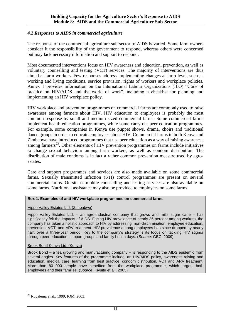#### *4.2 Responses to AIDS in commercial agriculture*

The response of the commercial agriculture sub-sector to AIDS is varied. Some farm owners consider it the responsibility of the government to respond, whereas others were concerned but may lack necessary information and support to respond.

Most documented interventions focus on HIV awareness and education, prevention, as well as voluntary counselling and testing (VCT) services. The majority of interventions are thus aimed at farm workers. Few responses address implementing changes at farm level, such as working and living conditions, service provision, rights of workers and workplace policies. Annex 1 provides information on the International Labour Organizations (ILO) "Code of practice on HIV/AIDS and the world of work", including a checklist for planning and implementing an HIV workplace policy.

HIV workplace and prevention programmes on commercial farms are commonly used to raise awareness among farmers about HIV. HIV education to employees is probably the most common response by small and medium sized commercial farms. Some commercial farms implement health education programmes, while some carry out peer education programmes. For example, some companies in Kenya use puppet shows, drama, choirs and traditional dance groups in order to educate employees about HIV. Commercial farms in both Kenya and Zimbabwe have introduced programmes that use peer education as a way of raising awareness among farmers<sup>23</sup>. Other elements of HIV prevention programmes on farms include initiatives to change sexual behaviour among farm workers, as well as condom distribution. The distribution of male condoms is in fact a rather common prevention measure used by agroestates.

Care and support programmes and services are also made available on some commercial farms. Sexually transmitted infection (STI) control programmes are present on several commercial farms. On-site or mobile counselling and testing services are also available on some farms. Nutritional assistance may also be provided to employees on some farms.

#### **Box 1. Examples of anti-HIV workplace programmes on commercial farms**

#### Hippo Valley Estates Ltd. (Zimbabwe)

Hippo Valley Estates Ltd. – an agro-industrial company that grows and mills sugar cane – has significantly felt the impacts of AIDS. Facing HIV prevalence of nearly 35 percent among workers, the company has taken a holistic approach to HIV by addressing: non-discrimination, employee education, prevention, VCT, and ARV treatment. HIV prevalence among employees has since dropped by nearly half, over a three-year period. Key to the company's strategy is its focus on tackling HIV stigma through peer education, support groups and family health days. (*Source*: GBC, 2009)

#### Brook Bond Kenya Ltd. (Kenya)

Brook Bond – a tea growing and manufacturing company – is responding to the AIDS epidemic from several angles. Key features of the programme include: an HIV/AIDS policy, awareness raising and education, medical care, learning from best practice, condom distribution, VCT and ARV treatment. More than 80 000 people have benefited from the workplace programme, which targets both employees and their families. (*Source*: Kivuitu et al., 2005)

 $\overline{a}$ <sup>23</sup> Rugalema et al., 1999; IOM, 2003.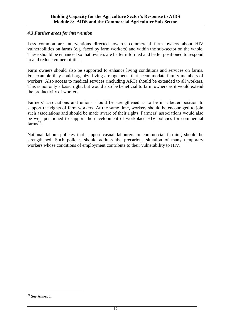#### *4.3 Further areas for intervention*

Less common are interventions directed towards commercial farm owners about HIV vulnerabilities on farms (e.g. faced by farm workers) and within the sub-sector on the whole. These should be enhanced so that owners are better informed and better positioned to respond to and reduce vulnerabilities.

Farm owners should also be supported to enhance living conditions and services on farms. For example they could organize living arrangements that accommodate family members of workers. Also access to medical services (including ART) should be extended to all workers. This is not only a basic right, but would also be beneficial to farm owners as it would extend the productivity of workers.

Farmers' associations and unions should be strengthened as to be in a better position to support the rights of farm workers. At the same time, workers should be encouraged to join such associations and should be made aware of their rights. Farmers' associations would also be well positioned to support the development of workplace HIV policies for commercial  $\mathrm{farms}^{24}$ .

National labour policies that support casual labourers in commercial farming should be strengthened. Such policies should address the precarious situation of many temporary workers whose conditions of employment contribute to their vulnerability to HIV.

 $24$  See Annex 1.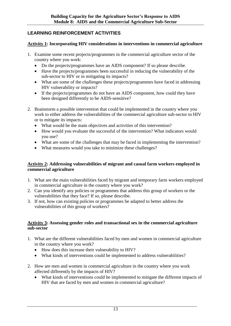# **LEARNING REINFORCEMENT ACTIVITIES**

#### **Activity 1: Incorporating HIV considerations in interventions in commercial agriculture**

- 1. Examine some recent projects/programmes in the commercial agriculture sector of the country where you work:
	- Do the projects/programmes have an AIDS component? If so please describe.
	- Have the projects/programmes been successful in reducing the vulnerability of the sub-sector to HIV or in mitigating its impacts?
	- What are some of the challenges these projects/programmes have faced in addressing HIV vulnerability or impacts?
	- If the projects/programmes do not have an AIDS component, how could they have been designed differently to be AIDS-sensitive?
- 2. Brainstorm a possible intervention that could be implemented in the country where you work to either address the vulnerabilities of the commercial agriculture sub-sector to HIV or to mitigate its impacts:
	- What would be the main objectives and activities of this intervention?
	- How would you evaluate the successful of the intervention? What indicators would you use?
	- What are some of the challenges that may be faced in implementing the intervention?
	- What measures would you take to minimize these challenges?

#### **Activity 2: Addressing vulnerabilities of migrant and casual farm workers employed in commercial agriculture**

- 1. What are the main vulnerabilities faced by migrant and temporary farm workers employed in commercial agriculture in the country where you work?
- 2. Can you identify any policies or programmes that address this group of workers or the vulnerabilities that they face? If so, please describe.
- 3. If not, how can existing policies or programmes be adapted to better address the vulnerabilities of this group of workers?

#### **Activity 3: Assessing gender roles and transactional sex in the commercial agriculture sub-sector**

- 1. What are the different vulnerabilities faced by men and women in commercial agriculture in the country where you work?
	- How does this increase their vulnerability to HIV?
	- What kinds of interventions could be implemented to address vulnerabilities?
- 2. How are men and women in commercial agriculture in the country where you work affected differently by the impacts of HIV?
	- What kinds of interventions could be implemented to mitigate the different impacts of HIV that are faced by men and women in commercial agriculture?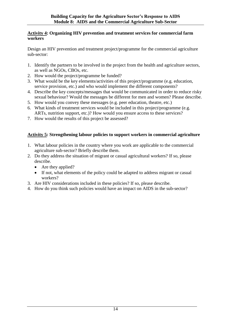#### **Activity 4: Organizing HIV prevention and treatment services for commercial farm workers**

Design an HIV prevention and treatment project/programme for the commercial agriculture sub-sector:

- 1. Identify the partners to be involved in the project from the health and agriculture sectors, as well as NGOs, CBOs, etc.
- 2. How would the project/programme be funded?
- 3. What would be the key elements/activities of this project/programme (e.g. education, service provision, etc.) and who would implement the different components?
- 4. Describe the key concepts/messages that would be communicated in order to reduce risky sexual behaviour? Would the messages be different for men and women? Please describe.
- 5. How would you convey these messages (e.g. peer education, theatre, etc.)
- 6. What kinds of treatment services would be included in this project/programme (e.g. ARTs, nutrition support, etc.)? How would you ensure access to these services?
- 7. How would the results of this project be assessed?

## **Activity 5: Strengthening labour policies to support workers in commercial agriculture**

- 1. What labour policies in the country where you work are applicable to the commercial agriculture sub-sector? Briefly describe them.
- 2. Do they address the situation of migrant or casual agricultural workers? If so, please describe.
	- Are they applied?
	- If not, what elements of the policy could be adapted to address migrant or casual workers?
- 3. Are HIV considerations included in these policies? If so, please describe.
- 4. How do you think such policies would have an impact on AIDS in the sub-sector?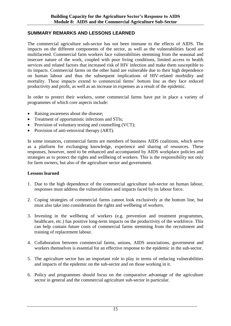#### **SUMMARY REMARKS AND LESSONS LEARNED**

The commercial agriculture sub-sector has not been immune to the effects of AIDS. The impacts on the different components of the sector, as well as the vulnerabilities faced are multifaceted. Commercial farm workers face vulnerabilities stemming from the seasonal and insecure nature of the work, coupled with poor living conditions, limited access to health services and related factors that increased risk of HIV infection and make them susceptible to its impacts. Commercial farms on the other hand are vulnerable due to their high dependence on human labour and thus the subsequent implications of HIV-related morbidity and mortality. These impacts extend to commercial farms' bottom line as they face reduced productivity and profit, as well as an increase in expenses as a result of the epidemic.

In order to protect their workers, some commercial farms have put in place a variety of programmes of which core aspects include:

- Raising awareness about the disease:
- Treatment of opportunistic infections and STIs;
- Provision of voluntary testing and counselling (VCT);
- Provision of anti-retroviral therapy (ART).

In some instances, commercial farms are members of business AIDS coalitions, which serve as a platform for exchanging knowledge, experience and sharing of resources. These responses, however, need to be enhanced and accompanied by AIDS workplace policies and strategies as to protect the rights and wellbeing of workers. This is the responsibility not only for farm owners, but also of the agriculture sector and government.

#### **Lessons learned**

- 1. Due to the high dependence of the commercial agriculture sub-sector on human labour, responses must address the vulnerabilities and impacts faced by its labour force.
- 2. Coping strategies of commercial farms cannot look exclusively at the bottom line, but must also take into consideration the rights and wellbeing of workers.
- 3. Investing in the wellbeing of workers (e.g. prevention and treatment programmes, healthcare, etc.) has positive long-term impacts on the productivity of the workforce. This can help contain future costs of commercial farms stemming from the recruitment and training of replacement labour.
- 4. Collaboration between commercial farms, unions, AIDS associations, government and workers themselves is essential for an effective response to the epidemic in the sub-sector.
- 5. The agriculture sector has an important role to play in terms of reducing vulnerabilities and impacts of the epidemic on the sub-sector and on those working in it.
- 6. Policy and programmes should focus on the comparative advantage of the agriculture sector in general and the commercial agriculture sub-sector in particular.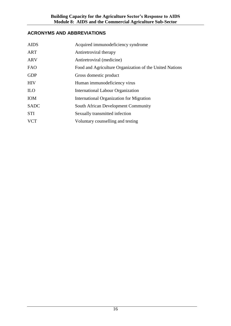# **ACRONYMS AND ABBREVIATIONS**

| Acquired immunodeficiency syndrome                      |
|---------------------------------------------------------|
| Antiretroviral therapy                                  |
| Antiretroviral (medicine)                               |
| Food and Agriculture Organization of the United Nations |
| Gross domestic product                                  |
| Human immunodeficiency virus                            |
| <b>International Labour Organization</b>                |
| International Organization for Migration                |
| South African Development Community                     |
| Sexually transmitted infection                          |
| Voluntary counselling and testing                       |
|                                                         |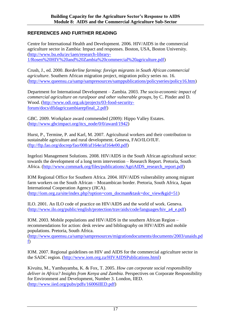### **REFERENCES AND FURTHER READING**

Centre for International Health and Development. 2006. HIV/AIDS in the commercial agriculture sector in Zambia: Impact and responses. Boston, USA, Boston University. [\(http://www.bu.edu/av/iaen/research-library-](http://www.bu.edu/av/iaen/research-library-1/Rosen%20HIV%20and%20Zambia%20commercial%20agriculture.pdf)[1/Rosen%20HIV%20and%20Zambia%20commercial%20agriculture.pdf\)](http://www.bu.edu/av/iaen/research-library-1/Rosen%20HIV%20and%20Zambia%20commercial%20agriculture.pdf)

Crush, J., ed. 2000. *Borderline farming: foreign migrants in South African commercial agriculture*. Southern African migration project, migration policy series no. 16. [\(http://www.queensu.ca/samp/sampresources/samppublications/policyseries/policy16.htm\)](http://www.queensu.ca/samp/sampresources/samppublications/policyseries/policy16.htm)

Department for International Development – Zambia. 2003. *The socio-economic impact of commercial agriculture on ruralpoor and other vulnerable groups*, by C. Pinder and D. Wood. [\(http://www.odi.org.uk/projects/03-food-security](http://www.odi.org.uk/projects/03-food-security-forum/docs/dfidagriczambiarepfinal_2.pdf)[forum/docs/dfidagriczambiarepfinal\\_2.pdf\)](http://www.odi.org.uk/projects/03-food-security-forum/docs/dfidagriczambiarepfinal_2.pdf)

GBC. 2009. Workplace award commended (2009): Hippo Valley Estates. [\(http://www.gbcimpact.org/itcs\\_node/0/0/award/1942\)](http://www.gbcimpact.org/itcs_node/0/0/award/1942)

Hurst, P., Termine, P. and Karl, M. 2007. Agricultural workers and their contribution to sustainable agriculture and rural development. Geneva, FAO/ILO/IUF.  $(ftp://ftp.fao.org/docrep/fao/008/af164e/af164e00.pdf)$ 

Ingelozi Management Solutions. 2008. HIV/AIDS in the South African agricultural sector: towards the development of a long term intervention – Research Report. Pretoria, South Africa. [\(http://www.commark.org/files/publications/AgriAIDS\\_research\\_report.pdf\)](http://www.commark.org/files/publications/AgriAIDS_research_report.pdf)

IOM Regional Office for Southern Africa. 2004. HIV/AIDS vulnerability among migrant farm workers on the South African – Mozambican border. Pretoria, South Africa, Japan International Cooperation Agency (JICA). [\(http://iom.org.za/site/index.php?option=com\\_docman&task=doc\\_view&gid=51\)](http://iom.org.za/site/index.php?option=com_docman&task=doc_view&gid=51)

ILO. 2001. An ILO code of practice on HIV/AIDS and the world of work. Geneva. [\(http://www.ilo.org/public/english/protection/trav/aids/code/languages/hiv\\_a4\\_e.pdf\)](http://www.ilo.org/public/english/protection/trav/aids/code/languages/hiv_a4_e.pdf)

IOM. 2003. Mobile populations and HIV/AIDS in the southern African Region – recommendations for action: desk review and bibliography on HIV/AIDS and mobile populations. Pretoria, South Africa.

[\(http://www.queensu.ca/samp/sampresources/migrationdocuments/documents/2003/unaids.pd](http://www.queensu.ca/samp/sampresources/migrationdocuments/documents/2003/unaids.pdf) [f\)](http://www.queensu.ca/samp/sampresources/migrationdocuments/documents/2003/unaids.pdf)

IOM. 2007. Regional guidelines on HIV and AIDS for the commercial agriculture sector in the SADC region. [\(http://www.iom.org.za/HIVAIDSPublications.html\)](http://www.iom.org.za/HIVAIDSPublications.html)

Kivuitu, M., Yambayamba, K. & Fox, T. 2005. *How can corporate social responsibility deliver in Africa? Insights from Kenya and Zambia*. Perspectives on Corporate Responsibility for Environment and Development, Number 3. London, IIED. [\(http://www.iied.org/pubs/pdfs/16006IIED.pdf\)](http://www.iied.org/pubs/pdfs/16006IIED.pdf)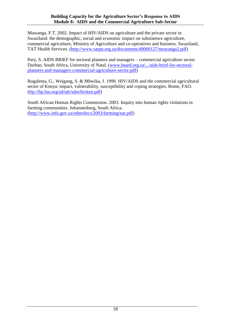Muwanga, F.T. 2002. Impact of HIV/AIDS on agriculture and the private sector in Swaziland: the demographic, social and economic impact on subsistence agriculture, commercial agriculture, Ministry of Agriculture and co-operatives and business. Swaziland, TAT Health Services. [\(http://www.sarpn.org.za/documents/d0000127/muwanga2.pdf\)](http://www.sarpn.org.za/documents/d0000127/muwanga2.pdf)

Pary, S. AIDS BRIEF for sectoral planners and managers – commercial agriculture sector. Durban, South Africa, University of Natal. [\(www.heard.org.za/.../aids-brief-for-sectoral](http://www.heard.org.za/.../aids-brief-for-sectoral-planners-and-managers-commercial-agriculture-sector.pdf)[planners-and-managers-commercial-agriculture-sector.pdf\)](http://www.heard.org.za/.../aids-brief-for-sectoral-planners-and-managers-commercial-agriculture-sector.pdf)

Rugalema, G., Weigang, S. & Mbwika, J. 1999. HIV/AIDS and the commercial agricultural sector of Kenya: impact, vulnerability, susceptibility and coping strategies. Rome, FAO. [\(ftp://ftp.fao.org/sd/sdr/sdre/hivken.pdf\)](ftp://ftp.fao.org/sd/sdr/sdre/hivken.pdf)

South African Human Rights Commission. 2003. Inquiry into human rights violations in farming communities. Johannesburg, South Africa. [\(http://www.info.gov.za/otherdocs/2003/farming/nat.pdf\)](http://www.info.gov.za/otherdocs/2003/farming/nat.pdf)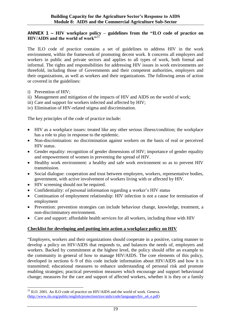#### **ANNEX 1 – HIV workplace policy – guidelines from the "ILO code of practice on HIV/AIDS and the world of work"**<sup>25</sup>

The ILO code of practice contains a set of guidelines to address HIV in the work environment, within the framework of promoting decent work. It concerns all employers and workers in public and private sectors and applies to all types of work, both formal and informal. The rights and responsibilities for addressing HIV issues in work environments are threefold, including those of Governments and their competent authorities, employers and their organizations, as well as workers and their organizations. The following areas of action or covered in the guidelines:

- i) Prevention of HIV;
- ii) Management and mitigation of the impacts of HIV and AIDS on the world of work;
- iii) Care and support for workers infected and affected by HIV;
- iv) Elimination of HIV-related stigma and discrimination.

The key principles of the code of practice include:

- HIV as a workplace issues: treated like any other serious illness/condition; the workplace has a role to play in response to the epidemic.
- Non-discrimination: no discrimination against workers on the basis of real or perceived HIV status.
- Gender equality: recognition of gender dimensions of HIV; importance of gender equality and empowerment of women in preventing the spread of HIV.
- Healthy work environment: a healthy and safe work environment so as to prevent HIV transmission.
- Social dialogue: cooperation and trust between employers, workers, representative bodies, government, with active involvement of workers living with or affected by HIV.
- HIV screening should not be required.

 $\overline{a}$ 

- Confidentiality: of personal information regarding a worker's HIV status
- Continuation of employment relationship: HIV infection is not a cause for termination of employment
- Prevention: prevention strategies can include behaviour change, knowledge, treatment, a non-discriminatory environment.
- Care and support: affordable health services for all workers, including those with HIV

#### **Checklist for developing and putting into action a workplace policy on HIV**

"Employers, workers and their organizations should cooperate in a positive, caring manner to develop a policy on HIV/AIDS that responds to, and balances the needs of, employers and workers. Backed by commitment at the highest level, the policy should offer an example to the community in general of how to manage HIV/AIDS. The core elements of this policy, developed in sections 6–9 of this code include information about HIV/AIDS and how it is transmitted; educational measures to enhance understanding of personal risk and promote enabling strategies; practical prevention measures which encourage and support behavioural change; measures for the care and support of affected workers, whether it is they or a family

 $^{25}$  ILO. 2001. An ILO code of practice on HIV/AIDS and the world of work. Geneva. [\(http://www.ilo.org/public/english/protection/trav/aids/code/languages/hiv\\_a4\\_e.pdf\)](http://www.ilo.org/public/english/protection/trav/aids/code/languages/hiv_a4_e.pdf)